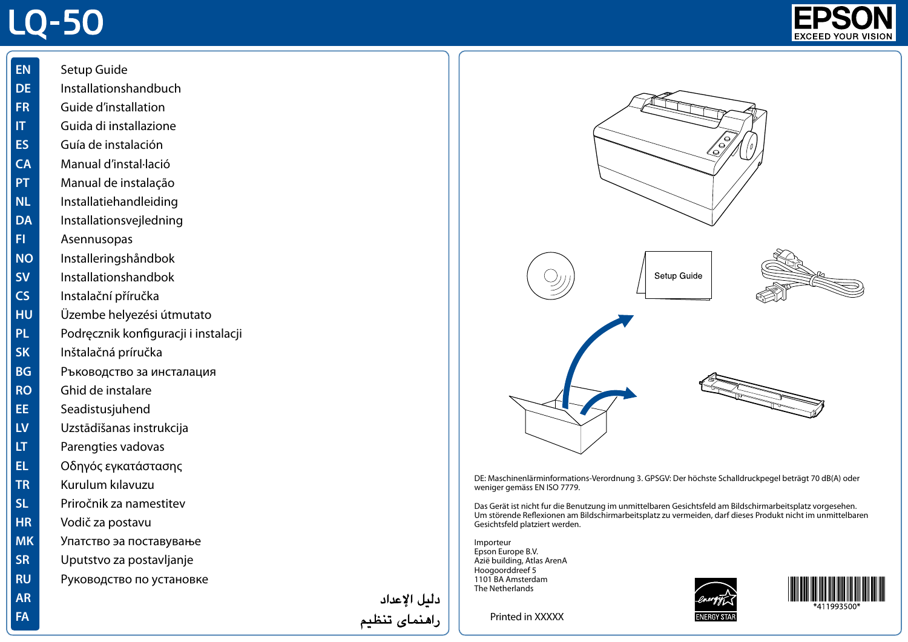## **LQ-50**





- **EL** Οδηγός εγκατάστασης
- **TR** Kurulum kılavuzu
- **SL** Priročnik za namestitev
- **HR** Vodič za postavu

**AR FA**

- **MK** Упатство эа поставување
- **SR** Uputstvo za postavljanje
- **RU** Руководство по установке

دليل الإعداد راهنمای تنظیم



DE: Maschinenlärminformations-Verordnung 3. GPSGV: Der höchste Schalldruckpegel beträgt 70 dB(A) oder weniger gemäss EN ISO 7779.

Das Gerät ist nicht fur die Benutzung im unmittelbaren Gesichtsfeld am Bildschirmarbeitsplatz vorgesehen. Um störende Reflexionen am Bildschirmarbeitsplatz zu vermeiden, darf dieses Produkt nicht im unmittelbaren Gesichtsfeld platziert werden.

Importeur Epson Europe B.V. Azië building, Atlas ArenA Hoogoorddreef 5 1101 BA Amsterdam The Netherlands





Printed in XXXXX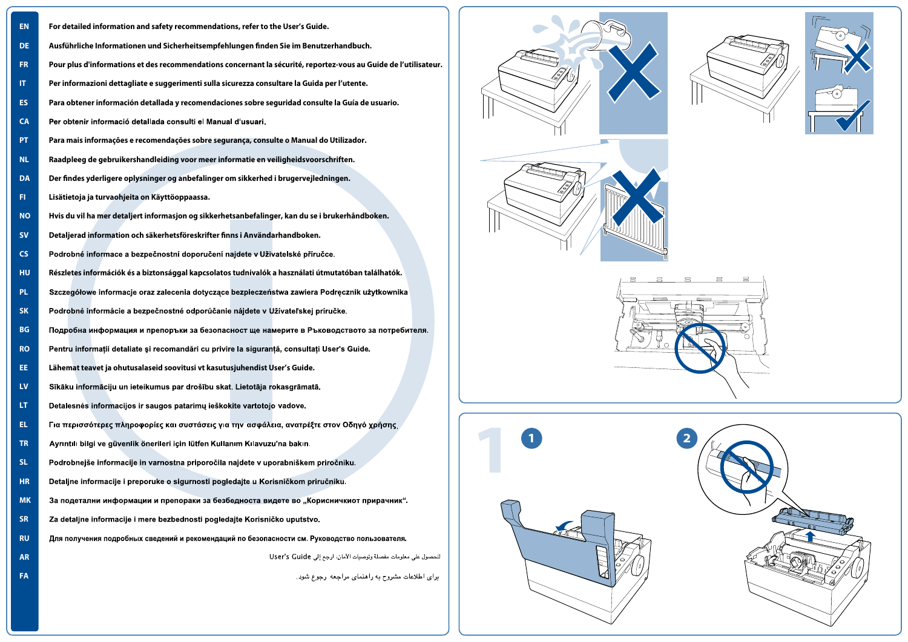| <b>EN</b> | For detailed information and safety recommendations, refer to the User's Guide.                                  |
|-----------|------------------------------------------------------------------------------------------------------------------|
| DE.       | Ausführliche Informationen und Sicherheitsempfehlungen finden Sie im Benutzerhandbuch.                           |
| FR.       | Pour plus d'informations et des recommendations concernant la sécurité, reportez-vous au Guide de l'utilisateur. |
| IT.       | Per informazioni dettagliate e suggerimenti sulla sicurezza consultare la Guida per l'utente.                    |
| ES.       | Para obtener información detallada y recomendaciones sobre seguridad consulte la Guía de usuario.                |
| <b>CA</b> | Per obtenir informació detallada consulti el Manual d'usuari.                                                    |
| PT.       | Para mais informações e recomendações sobre segurança, consulte o Manual do Utilizador.                          |
| NL.       | Raadpleeg de gebruikershandleiding voor meer informatie en veiligheidsvoorschriften.                             |
| DA        | Der findes yderligere oplysninger og anbefalinger om sikkerhed i brugervejledningen.                             |
| FL.       | Lisätietoja ja turvaohjeita on Käyttöoppaassa.                                                                   |
| <b>NO</b> | Hvis du vil ha mer detaljert informasjon og sikkerhetsanbefalinger, kan du se i brukerhåndboken.                 |
| <b>SV</b> | Detaljerad information och säkerhetsföreskrifter finns i Användarhandboken.                                      |
| CS        | Podrobné informace a bezpečnostní doporučení najdete v Uživatelské příručce.                                     |
| <b>HU</b> | Részletes információk és a biztonsággal kapcsolatos tudnivalók a használati útmutatóban találhatók.              |
| PL.       | Szczegółowe informacje oraz zalecenia dotyczące bezpieczeństwa zawiera Podręcznik użytkownika                    |
| <b>SK</b> | Podrobné informácie a bezpečnostné odporúčanie nájdete v Užívateľskej príručke.                                  |
| <b>BG</b> | Подробна информация и препоръки за безопасност ще намерите в Ръководството за потребителя.                       |
| <b>RO</b> | Pentru informații detaliate și recomandări cu privire la siguranță, consultați User's Guide.                     |
| EE.       | Lähemat teavet ja ohutusalaseid soovitusi vt kasutusjuhendist User's Guide.                                      |
| LV.       | Sīkāku informāciju un ieteikumus par drošību skat. Lietotāja rokasgrāmatā.                                       |
| LT.       | Detalesnės informacijos ir saugos patarimų ieškokite vartotojo vadove.                                           |
| EL.       | Για περισσότερες πληροφορίες και συστάσεις για την ασφάλεια, ανατρέξτε στον Οδηγό χρήσης                         |
| TR.       | Ayrıntılı bilgi ve güvenlik önerileri için lütfen Kullanım Kılavuzu'na bakın.                                    |
| SL.       | Podrobnejše informacije in varnostna priporočila najdete v uporabniškem priročniku.                              |
| <b>HR</b> | Detaljne informacije i preporuke o sigurnosti pogledajte u Korisničkom priručniku.                               |
| <b>MK</b> | За подетални информации и препораки за безбедноста видете во "Корисничкиот прирачник".                           |
| <b>SR</b> | Za detaljne informacije i mere bezbednosti pogledajte Korisničko uputstvo.                                       |
| <b>RU</b> | Для получения подробных сведений и рекомендаций по безопасности см. Руководство пользователя.                    |
| <b>AR</b> | للحصول على معلومات مفصلة وتوصيات الأمان، ارجع إلى User's Guide                                                   |
| FA        | برای اطلاعات مشروح به راهنمای مراجعه رجوع شود.                                                                   |
|           |                                                                                                                  |









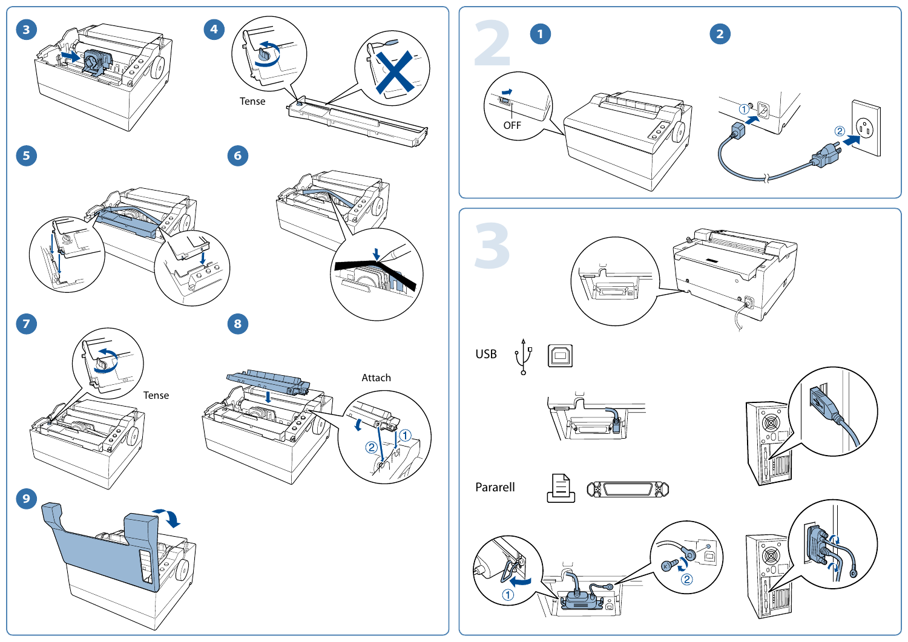